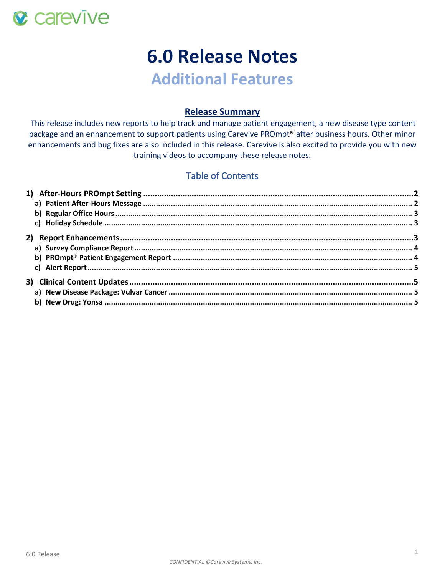

# **6.0 Release Notes**

## **Additional Features**

## **Release Summary**

This release includes new reports to help track and manage patient engagement, a new disease type content package and an enhancement to support patients using Carevive PROmpt® after business hours. Other minor enhancements and bug fixes are also included in this release. Carevive is also excited to provide you with new training videos to accompany these release notes.

## Table of Contents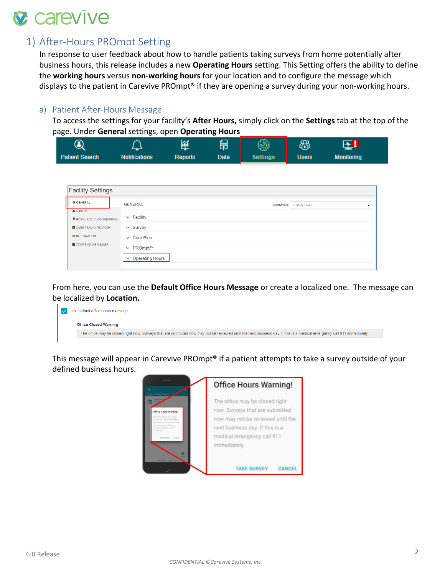

## <span id="page-1-0"></span>1) After-Hours PROmpt Setting

In response to user feedback about how to handle patients taking surveys from home potentially after business hours, this release includes a new **Operating Hours** setting. This Setting offers the ability to define the **working hours** versus **non-working hours** for your location and to configure the message which displays to the patient in Carevive PROmpt<sup>®</sup> if they are opening a survey during your non-working hours.

## <span id="page-1-1"></span>a) Patient After-Hours Message

To access the settings for your facility's **After Hours,** simply click on the **Settings** tab at the top of the page. Under **General** settings, open **Operating Hours**

| ◉                     |                      |                | 鬧           | હ્યુ            | கி           | 医                 |  |
|-----------------------|----------------------|----------------|-------------|-----------------|--------------|-------------------|--|
| <b>Patient Search</b> | <b>Notifications</b> | <b>Reports</b> | <b>Data</b> | <b>Settings</b> | <b>Users</b> | <b>Monitoring</b> |  |

| <b>Facility Settings</b>                         |                                                                         |  |  |  |  |  |  |  |
|--------------------------------------------------|-------------------------------------------------------------------------|--|--|--|--|--|--|--|
| <b>C</b> GENERAL                                 | <b>GENERAL</b><br>LOCATION: -- Facility Level--<br>$\blacktriangledown$ |  |  |  |  |  |  |  |
| <b>ALERTS</b><br><b>Q</b> RESOURCE CUSTOMIZATION | $\vee$ Facility                                                         |  |  |  |  |  |  |  |
| <b>E</b> CARE TEAM DIRECTORY                     | $\vee$ Survey                                                           |  |  |  |  |  |  |  |
| $\rightleftharpoons$ INTEGRATION                 | $\vee$ Care Plan                                                        |  |  |  |  |  |  |  |
| SCOMPENDIUM VIEWER                               | $\vee$ PROmpt™                                                          |  |  |  |  |  |  |  |
|                                                  | <b>Operating Hours</b><br>$\tilde{\phantom{a}}$                         |  |  |  |  |  |  |  |
|                                                  |                                                                         |  |  |  |  |  |  |  |

From here, you can use the **Default Office Hours Message** or create a localized one. The message can be localized by **Location.**

|  | Use default office hours message                                                                                                                                         |
|--|--------------------------------------------------------------------------------------------------------------------------------------------------------------------------|
|  | <b>Office Closed Warning</b>                                                                                                                                             |
|  | The office may be closed right now. Surveys that are submitted now may not be reviewed until the next business day. If this is a medical emergency call 911 immediately. |

This message will appear in Carevive PROmpt® if a patient attempts to take a survey outside of your defined business hours.

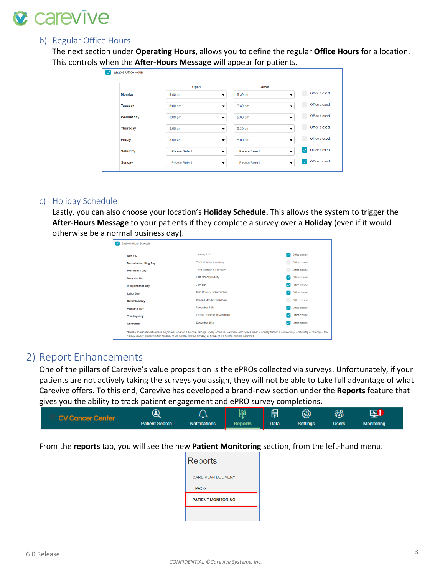

#### <span id="page-2-0"></span>b) Regular Office Hours

The next section under **Operating Hours**, allows you to define the regular **Office Hours** for a location. This controls when the **After-Hours Message** will appear for patients.

|                 | Open              | Close                                         |                                                           |
|-----------------|-------------------|-----------------------------------------------|-----------------------------------------------------------|
| <b>Monday</b>   | 8:00 am           | 6:30 pm<br>▼                                  | Office closed<br>▼                                        |
| <b>Tuesday</b>  | 8:00 am           | 6:30 pm<br>▼                                  | Office closed<br>▼                                        |
| Wednesday       | $1:00$ pm         | 5:00 pm<br>▼                                  | Office closed<br>$\overline{\phantom{a}}$                 |
| <b>Thursday</b> | 8:00 am           | 6:30 pm<br>▼                                  | Office closed<br>▼                                        |
| Friday          | 8:00 am           | 5:00 pm<br>$\overline{\phantom{a}}$           | Office closed<br>▼                                        |
| Saturday        | --Please Select-- | --Please Select--<br>▼                        | Office closed<br>$\boldsymbol{v}$<br>$\blacktriangledown$ |
| <b>Sunday</b>   | --Please Select-- | --Please Select--<br>$\overline{\phantom{a}}$ | Office closed<br>$\checkmark$<br>$\overline{\phantom{a}}$ |

## <span id="page-2-1"></span>c) Holiday Schedule

Lastly, you can also choose your location's **Holiday Schedule.** This allows the system to trigger the **After-Hours Message** to your patients if they complete a survey over a **Holiday** (even if it would otherwise be a normal business day).

| ,,                                                                                                                   |                                                                                                                                                                           |               |
|----------------------------------------------------------------------------------------------------------------------|---------------------------------------------------------------------------------------------------------------------------------------------------------------------------|---------------|
| <b>Enable Holiday Schedule</b>                                                                                       |                                                                                                                                                                           |               |
| New Year                                                                                                             | January 1st*                                                                                                                                                              | Office closed |
| <b>Martin Luther King Day</b>                                                                                        | Third Monday in January                                                                                                                                                   | Office closed |
| <b>President's Day</b>                                                                                               | Third Monday in February                                                                                                                                                  | Office closed |
| <b>Memorial Day</b>                                                                                                  | Last Monday in May                                                                                                                                                        | Office closed |
| <b>Independence Day</b>                                                                                              | July 4th*                                                                                                                                                                 | Office closed |
| <b>Labor Day</b>                                                                                                     | First Monday in September                                                                                                                                                 | Office closed |
| <b>Columbus Day</b>                                                                                                  | Second Monday in October                                                                                                                                                  | Office closed |
| Veteran's Day                                                                                                        | November 11th*                                                                                                                                                            | Office closed |
| <b>Thanksgiving</b>                                                                                                  | Fourth Thursday in November                                                                                                                                               | Office closed |
| <b>Christmas</b>                                                                                                     | December 25th*                                                                                                                                                            | Office closed |
| holiday usually is observed on Monday (if the holiday falls on Sunday) or Friday (if the holiday falls on Saturday). | *Please note that most Federal employees work on a Monday through Friday schedule. For these employees, when a holiday falls on a nonworkday -- Saturday or Sunday -- the |               |

## <span id="page-2-2"></span>2) Report Enhancements

One of the pillars of Carevive's value proposition is the ePROs collected via surveys. Unfortunately, if your patients are not actively taking the surveys you assign, they will not be able to take full advantage of what Carevive offers. To this end, Carevive has developed a brand-new section under the **Reports** feature that gives you the ability to track patient engagement and ePRO survey completions**.** 

| <b>CV Cancer Center</b> |                       |                      | pin            | 目           | ಟ               | ርወ           |                   |  |
|-------------------------|-----------------------|----------------------|----------------|-------------|-----------------|--------------|-------------------|--|
|                         | <b>Patient Search</b> | <b>Notifications</b> | <b>Reports</b> | <b>Data</b> | <b>Settings</b> | <b>Users</b> | <b>Monitoring</b> |  |

From the **reports** tab, you will see the new **Patient Monitoring** section, from the left-hand menu.

| Reports                   |
|---------------------------|
| CARE PLAN DELIVERY        |
| <b>EPROS</b>              |
| <b>PATIENT MONITORING</b> |
|                           |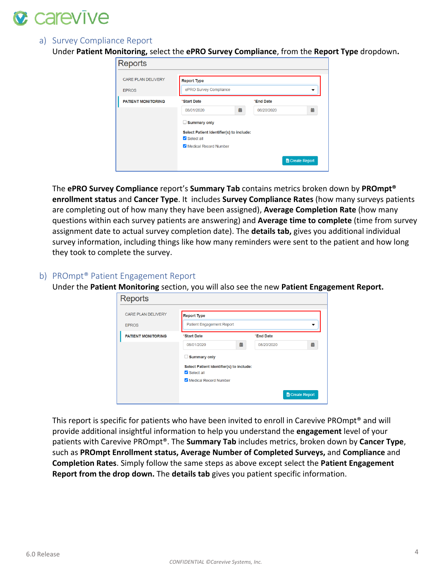

## <span id="page-3-0"></span>a) Survey Compliance Report

Under **Patient Monitoring,** select the **ePRO Survey Compliance**, from the **Report Type** dropdown**.** 

| Reports                                   |                                                                                                        |   |            |                      |
|-------------------------------------------|--------------------------------------------------------------------------------------------------------|---|------------|----------------------|
| <b>CARE PLAN DELIVERY</b><br><b>EPROS</b> | <b>Report Type</b><br>ePRO Survey Compliance                                                           |   |            | ▼                    |
| <b>PATIENT MONITORING</b>                 | *Start Date                                                                                            |   | *End Date  |                      |
|                                           | 08/01/2020                                                                                             | 曲 | 08/20/2020 | 曲                    |
|                                           | <b>Summary only</b><br>Select Patient Identifier(s) to include:<br>Select all<br>Medical Record Number |   |            |                      |
|                                           |                                                                                                        |   |            | <b>Greate Report</b> |

The **ePRO Survey Compliance** report's **Summary Tab** contains metrics broken down by **PROmpt® enrollment status** and **Cancer Type**. It includes **Survey Compliance Rates** (how many surveys patients are completing out of how many they have been assigned), **Average Completion Rate** (how many questions within each survey patients are answering) and **Average time to complete** (time from survey assignment date to actual survey completion date). The **details tab,** gives you additional individual survey information, including things like how many reminders were sent to the patient and how long they took to complete the survey.

## <span id="page-3-1"></span>b) PROmpt® Patient Engagement Report

Under the **Patient Monitoring** section, you will also see the new **Patient Engagement Report.** 

| <b>CARE PLAN DELIVERY</b> | <b>Report Type</b>                       |   |            |   |
|---------------------------|------------------------------------------|---|------------|---|
| <b>EPROS</b>              | <b>Patient Engagement Report</b>         |   |            |   |
| <b>PATIENT MONITORING</b> | *Start Date                              |   | *End Date  |   |
|                           | 08/01/2020                               | 曲 | 08/20/2020 | 苗 |
|                           | Summary only                             |   |            |   |
|                           | Select Patient Identifier(s) to include: |   |            |   |
|                           | Select all                               |   |            |   |
|                           | Medical Record Number                    |   |            |   |

This report is specific for patients who have been invited to enroll in Carevive PROmpt® and will provide additional insightful information to help you understand the **engagement** level of your patients with Carevive PROmpt®. The **Summary Tab** includes metrics, broken down by **Cancer Type**, such as **PROmpt Enrollment status, Average Number of Completed Surveys,** and **Compliance** and **Completion Rates**. Simply follow the same steps as above except select the **Patient Engagement Report from the drop down.** The **details tab** gives you patient specific information.